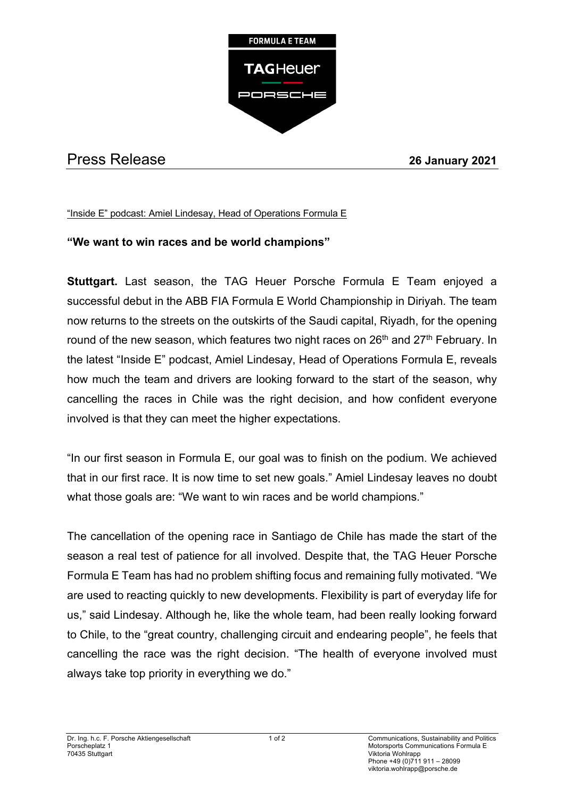

## Press Release **26 January 2021**

## "Inside E" podcast: Amiel Lindesay, Head of Operations Formula E

## **"We want to win races and be world champions"**

**Stuttgart.** Last season, the TAG Heuer Porsche Formula E Team enjoyed a successful debut in the ABB FIA Formula E World Championship in Diriyah. The team now returns to the streets on the outskirts of the Saudi capital, Riyadh, for the opening round of the new season, which features two night races on 26<sup>th</sup> and 27<sup>th</sup> February. In the latest "Inside E" podcast, Amiel Lindesay, Head of Operations Formula E, reveals how much the team and drivers are looking forward to the start of the season, why cancelling the races in Chile was the right decision, and how confident everyone involved is that they can meet the higher expectations.

"In our first season in Formula E, our goal was to finish on the podium. We achieved that in our first race. It is now time to set new goals." Amiel Lindesay leaves no doubt what those goals are: "We want to win races and be world champions."

The cancellation of the opening race in Santiago de Chile has made the start of the season a real test of patience for all involved. Despite that, the TAG Heuer Porsche Formula E Team has had no problem shifting focus and remaining fully motivated. "We are used to reacting quickly to new developments. Flexibility is part of everyday life for us," said Lindesay. Although he, like the whole team, had been really looking forward to Chile, to the "great country, challenging circuit and endearing people", he feels that cancelling the race was the right decision. "The health of everyone involved must always take top priority in everything we do."